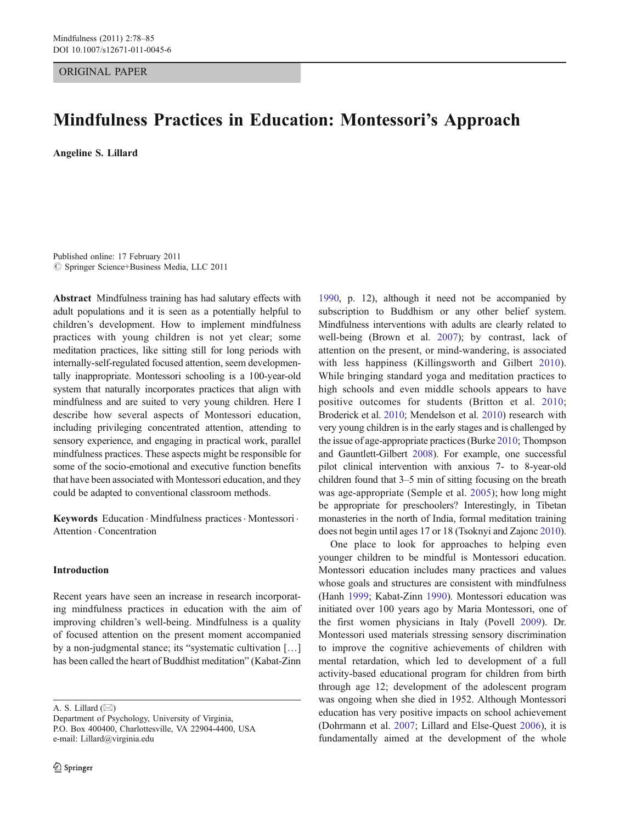ORIGINAL PAPER

# Mindfulness Practices in Education: Montessori's Approach

Angeline S. Lillard

Published online: 17 February 2011  $©$  Springer Science+Business Media, LLC 2011

Abstract Mindfulness training has had salutary effects with adult populations and it is seen as a potentially helpful to children's development. How to implement mindfulness practices with young children is not yet clear; some meditation practices, like sitting still for long periods with internally-self-regulated focused attention, seem developmentally inappropriate. Montessori schooling is a 100-year-old system that naturally incorporates practices that align with mindfulness and are suited to very young children. Here I describe how several aspects of Montessori education, including privileging concentrated attention, attending to sensory experience, and engaging in practical work, parallel mindfulness practices. These aspects might be responsible for some of the socio-emotional and executive function benefits that have been associated with Montessori education, and they could be adapted to conventional classroom methods.

Keywords Education . Mindfulness practices. Montessori . Attention . Concentration

# Introduction

Recent years have seen an increase in research incorporating mindfulness practices in education with the aim of improving children's well-being. Mindfulness is a quality of focused attention on the present moment accompanied by a non-judgmental stance; its "systematic cultivation […] has been called the heart of Buddhist meditation" (Kabat-Zinn

A. S. Lillard  $(\boxtimes)$ 

[1990,](#page-7-0) p. 12), although it need not be accompanied by subscription to Buddhism or any other belief system. Mindfulness interventions with adults are clearly related to well-being (Brown et al. [2007\)](#page-6-0); by contrast, lack of attention on the present, or mind-wandering, is associated with less happiness (Killingsworth and Gilbert [2010](#page-7-0)). While bringing standard yoga and meditation practices to high schools and even middle schools appears to have positive outcomes for students (Britton et al. [2010;](#page-6-0) Broderick et al. [2010](#page-6-0); Mendelson et al. [2010\)](#page-7-0) research with very young children is in the early stages and is challenged by the issue of age-appropriate practices (Burke [2010](#page-6-0); Thompson and Gauntlett-Gilbert [2008](#page-7-0)). For example, one successful pilot clinical intervention with anxious 7- to 8-year-old children found that 3–5 min of sitting focusing on the breath was age-appropriate (Semple et al. [2005](#page-7-0)); how long might be appropriate for preschoolers? Interestingly, in Tibetan monasteries in the north of India, formal meditation training does not begin until ages 17 or 18 (Tsoknyi and Zajonc [2010\)](#page-7-0).

One place to look for approaches to helping even younger children to be mindful is Montessori education. Montessori education includes many practices and values whose goals and structures are consistent with mindfulness (Hanh [1999](#page-7-0); Kabat-Zinn [1990\)](#page-7-0). Montessori education was initiated over 100 years ago by Maria Montessori, one of the first women physicians in Italy (Povell [2009](#page-7-0)). Dr. Montessori used materials stressing sensory discrimination to improve the cognitive achievements of children with mental retardation, which led to development of a full activity-based educational program for children from birth through age 12; development of the adolescent program was ongoing when she died in 1952. Although Montessori education has very positive impacts on school achievement (Dohrmann et al. [2007;](#page-6-0) Lillard and Else-Quest [2006\)](#page-7-0), it is fundamentally aimed at the development of the whole

Department of Psychology, University of Virginia, P.O. Box 400400, Charlottesville, VA 22904-4400, USA e-mail: Lillard@virginia.edu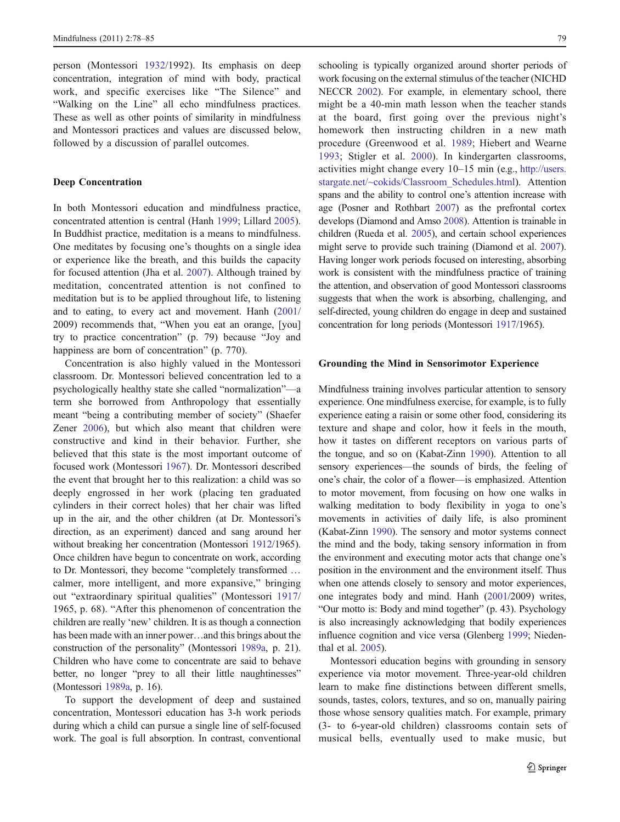person (Montessori [1932/](#page-7-0)1992). Its emphasis on deep concentration, integration of mind with body, practical work, and specific exercises like "The Silence" and "Walking on the Line" all echo mindfulness practices. These as well as other points of similarity in mindfulness and Montessori practices and values are discussed below, followed by a discussion of parallel outcomes.

### Deep Concentration

In both Montessori education and mindfulness practice, concentrated attention is central (Hanh [1999](#page-7-0); Lillard [2005](#page-7-0)). In Buddhist practice, meditation is a means to mindfulness. One meditates by focusing one's thoughts on a single idea or experience like the breath, and this builds the capacity for focused attention (Jha et al. [2007](#page-7-0)). Although trained by meditation, concentrated attention is not confined to meditation but is to be applied throughout life, to listening and to eating, to every act and movement. Hanh [\(2001](#page-7-0)/ 2009) recommends that, "When you eat an orange, [you] try to practice concentration" (p. 79) because "Joy and happiness are born of concentration" (p. 770).

Concentration is also highly valued in the Montessori classroom. Dr. Montessori believed concentration led to a psychologically healthy state she called "normalization"—a term she borrowed from Anthropology that essentially meant "being a contributing member of society" (Shaefer Zener [2006\)](#page-7-0), but which also meant that children were constructive and kind in their behavior. Further, she believed that this state is the most important outcome of focused work (Montessori [1967](#page-7-0)). Dr. Montessori described the event that brought her to this realization: a child was so deeply engrossed in her work (placing ten graduated cylinders in their correct holes) that her chair was lifted up in the air, and the other children (at Dr. Montessori's direction, as an experiment) danced and sang around her without breaking her concentration (Montessori [1912](#page-7-0)/1965). Once children have begun to concentrate on work, according to Dr. Montessori, they become "completely transformed … calmer, more intelligent, and more expansive," bringing out "extraordinary spiritual qualities" (Montessori [1917](#page-7-0)/ 1965, p. 68). "After this phenomenon of concentration the children are really 'new' children. It is as though a connection has been made with an inner power…and this brings about the construction of the personality" (Montessori [1989a](#page-7-0), p. 21). Children who have come to concentrate are said to behave better, no longer "prey to all their little naughtinesses" (Montessori [1989a,](#page-7-0) p. 16).

To support the development of deep and sustained concentration, Montessori education has 3-h work periods during which a child can pursue a single line of self-focused work. The goal is full absorption. In contrast, conventional schooling is typically organized around shorter periods of work focusing on the external stimulus of the teacher (NICHD NECCR [2002\)](#page-7-0). For example, in elementary school, there might be a 40-min math lesson when the teacher stands at the board, first going over the previous night's homework then instructing children in a new math procedure (Greenwood et al. [1989;](#page-7-0) Hiebert and Wearne [1993](#page-7-0); Stigler et al. [2000](#page-7-0)). In kindergarten classrooms, activities might change every 10–15 min (e.g., [http://users.](http://users.stargate.net/~cokids/Classroom_Schedules.html) [stargate.net/~cokids/Classroom\\_Schedules.html\)](http://users.stargate.net/~cokids/Classroom_Schedules.html). Attention spans and the ability to control one's attention increase with age (Posner and Rothbart [2007\)](#page-7-0) as the prefrontal cortex develops (Diamond and Amso [2008\)](#page-6-0). Attention is trainable in children (Rueda et al. [2005\)](#page-7-0), and certain school experiences might serve to provide such training (Diamond et al. [2007\)](#page-6-0). Having longer work periods focused on interesting, absorbing work is consistent with the mindfulness practice of training the attention, and observation of good Montessori classrooms suggests that when the work is absorbing, challenging, and self-directed, young children do engage in deep and sustained concentration for long periods (Montessori [1917](#page-7-0)/1965).

### Grounding the Mind in Sensorimotor Experience

Mindfulness training involves particular attention to sensory experience. One mindfulness exercise, for example, is to fully experience eating a raisin or some other food, considering its texture and shape and color, how it feels in the mouth, how it tastes on different receptors on various parts of the tongue, and so on (Kabat-Zinn [1990](#page-7-0)). Attention to all sensory experiences—the sounds of birds, the feeling of one's chair, the color of a flower—is emphasized. Attention to motor movement, from focusing on how one walks in walking meditation to body flexibility in yoga to one's movements in activities of daily life, is also prominent (Kabat-Zinn [1990\)](#page-7-0). The sensory and motor systems connect the mind and the body, taking sensory information in from the environment and executing motor acts that change one's position in the environment and the environment itself. Thus when one attends closely to sensory and motor experiences, one integrates body and mind. Hanh [\(2001/](#page-7-0)2009) writes, "Our motto is: Body and mind together" (p. 43). Psychology is also increasingly acknowledging that bodily experiences influence cognition and vice versa (Glenberg [1999](#page-7-0); Niedenthal et al. [2005](#page-7-0)).

Montessori education begins with grounding in sensory experience via motor movement. Three-year-old children learn to make fine distinctions between different smells, sounds, tastes, colors, textures, and so on, manually pairing those whose sensory qualities match. For example, primary (3- to 6-year-old children) classrooms contain sets of musical bells, eventually used to make music, but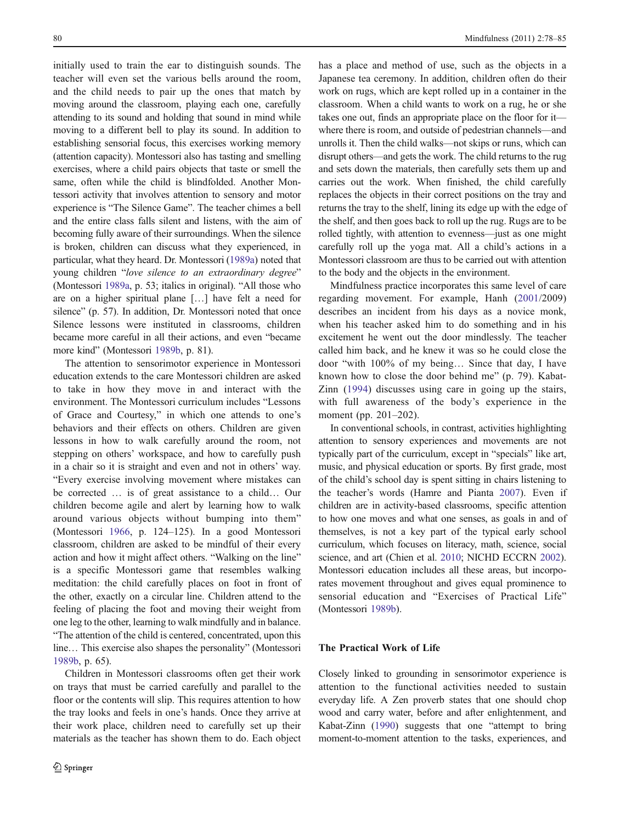initially used to train the ear to distinguish sounds. The teacher will even set the various bells around the room, and the child needs to pair up the ones that match by moving around the classroom, playing each one, carefully attending to its sound and holding that sound in mind while moving to a different bell to play its sound. In addition to establishing sensorial focus, this exercises working memory (attention capacity). Montessori also has tasting and smelling exercises, where a child pairs objects that taste or smell the same, often while the child is blindfolded. Another Montessori activity that involves attention to sensory and motor experience is "The Silence Game". The teacher chimes a bell and the entire class falls silent and listens, with the aim of becoming fully aware of their surroundings. When the silence is broken, children can discuss what they experienced, in particular, what they heard. Dr. Montessori ([1989a\)](#page-7-0) noted that young children "love silence to an extraordinary degree" (Montessori [1989a](#page-7-0), p. 53; italics in original). "All those who are on a higher spiritual plane […] have felt a need for silence" (p. 57). In addition, Dr. Montessori noted that once Silence lessons were instituted in classrooms, children became more careful in all their actions, and even "became more kind" (Montessori [1989b](#page-7-0), p. 81).

The attention to sensorimotor experience in Montessori education extends to the care Montessori children are asked to take in how they move in and interact with the environment. The Montessori curriculum includes "Lessons of Grace and Courtesy," in which one attends to one's behaviors and their effects on others. Children are given lessons in how to walk carefully around the room, not stepping on others' workspace, and how to carefully push in a chair so it is straight and even and not in others' way. "Every exercise involving movement where mistakes can be corrected … is of great assistance to a child… Our children become agile and alert by learning how to walk around various objects without bumping into them" (Montessori [1966,](#page-7-0) p. 124–125). In a good Montessori classroom, children are asked to be mindful of their every action and how it might affect others. "Walking on the line" is a specific Montessori game that resembles walking meditation: the child carefully places on foot in front of the other, exactly on a circular line. Children attend to the feeling of placing the foot and moving their weight from one leg to the other, learning to walk mindfully and in balance. "The attention of the child is centered, concentrated, upon this line… This exercise also shapes the personality" (Montessori [1989b](#page-7-0), p. 65).

Children in Montessori classrooms often get their work on trays that must be carried carefully and parallel to the floor or the contents will slip. This requires attention to how the tray looks and feels in one's hands. Once they arrive at their work place, children need to carefully set up their materials as the teacher has shown them to do. Each object has a place and method of use, such as the objects in a Japanese tea ceremony. In addition, children often do their work on rugs, which are kept rolled up in a container in the classroom. When a child wants to work on a rug, he or she takes one out, finds an appropriate place on the floor for it where there is room, and outside of pedestrian channels—and unrolls it. Then the child walks—not skips or runs, which can disrupt others—and gets the work. The child returns to the rug and sets down the materials, then carefully sets them up and carries out the work. When finished, the child carefully replaces the objects in their correct positions on the tray and returns the tray to the shelf, lining its edge up with the edge of the shelf, and then goes back to roll up the rug. Rugs are to be rolled tightly, with attention to evenness—just as one might carefully roll up the yoga mat. All a child's actions in a Montessori classroom are thus to be carried out with attention to the body and the objects in the environment.

Mindfulness practice incorporates this same level of care regarding movement. For example, Hanh ([2001/](#page-7-0)2009) describes an incident from his days as a novice monk, when his teacher asked him to do something and in his excitement he went out the door mindlessly. The teacher called him back, and he knew it was so he could close the door "with 100% of my being… Since that day, I have known how to close the door behind me" (p. 79). Kabat-Zinn [\(1994\)](#page-7-0) discusses using care in going up the stairs, with full awareness of the body's experience in the moment (pp. 201–202).

In conventional schools, in contrast, activities highlighting attention to sensory experiences and movements are not typically part of the curriculum, except in "specials" like art, music, and physical education or sports. By first grade, most of the child's school day is spent sitting in chairs listening to the teacher's words (Hamre and Pianta [2007\)](#page-7-0). Even if children are in activity-based classrooms, specific attention to how one moves and what one senses, as goals in and of themselves, is not a key part of the typical early school curriculum, which focuses on literacy, math, science, social science, and art (Chien et al. [2010;](#page-6-0) NICHD ECCRN [2002\)](#page-7-0). Montessori education includes all these areas, but incorporates movement throughout and gives equal prominence to sensorial education and "Exercises of Practical Life" (Montessori [1989b\)](#page-7-0).

# The Practical Work of Life

Closely linked to grounding in sensorimotor experience is attention to the functional activities needed to sustain everyday life. A Zen proverb states that one should chop wood and carry water, before and after enlightenment, and Kabat-Zinn [\(1990\)](#page-7-0) suggests that one "attempt to bring moment-to-moment attention to the tasks, experiences, and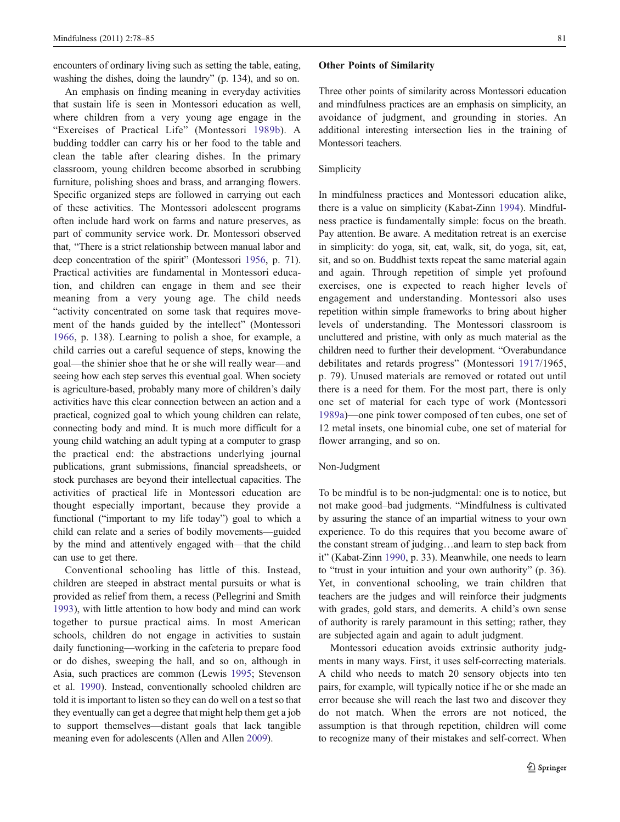encounters of ordinary living such as setting the table, eating, washing the dishes, doing the laundry" (p. 134), and so on.

An emphasis on finding meaning in everyday activities that sustain life is seen in Montessori education as well, where children from a very young age engage in the "Exercises of Practical Life" (Montessori [1989b](#page-7-0)). A budding toddler can carry his or her food to the table and clean the table after clearing dishes. In the primary classroom, young children become absorbed in scrubbing furniture, polishing shoes and brass, and arranging flowers. Specific organized steps are followed in carrying out each of these activities. The Montessori adolescent programs often include hard work on farms and nature preserves, as part of community service work. Dr. Montessori observed that, "There is a strict relationship between manual labor and deep concentration of the spirit" (Montessori [1956](#page-7-0), p. 71). Practical activities are fundamental in Montessori education, and children can engage in them and see their meaning from a very young age. The child needs "activity concentrated on some task that requires movement of the hands guided by the intellect" (Montessori [1966](#page-7-0), p. 138). Learning to polish a shoe, for example, a child carries out a careful sequence of steps, knowing the goal—the shinier shoe that he or she will really wear—and seeing how each step serves this eventual goal. When society is agriculture-based, probably many more of children's daily activities have this clear connection between an action and a practical, cognized goal to which young children can relate, connecting body and mind. It is much more difficult for a young child watching an adult typing at a computer to grasp the practical end: the abstractions underlying journal publications, grant submissions, financial spreadsheets, or stock purchases are beyond their intellectual capacities. The activities of practical life in Montessori education are thought especially important, because they provide a functional ("important to my life today") goal to which a child can relate and a series of bodily movements—guided by the mind and attentively engaged with—that the child can use to get there.

Conventional schooling has little of this. Instead, children are steeped in abstract mental pursuits or what is provided as relief from them, a recess (Pellegrini and Smith [1993\)](#page-7-0), with little attention to how body and mind can work together to pursue practical aims. In most American schools, children do not engage in activities to sustain daily functioning—working in the cafeteria to prepare food or do dishes, sweeping the hall, and so on, although in Asia, such practices are common (Lewis [1995;](#page-7-0) Stevenson et al. [1990](#page-7-0)). Instead, conventionally schooled children are told it is important to listen so they can do well on a test so that they eventually can get a degree that might help them get a job to support themselves—distant goals that lack tangible meaning even for adolescents (Allen and Allen [2009\)](#page-6-0).

#### Other Points of Similarity

Three other points of similarity across Montessori education and mindfulness practices are an emphasis on simplicity, an avoidance of judgment, and grounding in stories. An additional interesting intersection lies in the training of Montessori teachers.

# Simplicity

In mindfulness practices and Montessori education alike, there is a value on simplicity (Kabat-Zinn [1994\)](#page-7-0). Mindfulness practice is fundamentally simple: focus on the breath. Pay attention. Be aware. A meditation retreat is an exercise in simplicity: do yoga, sit, eat, walk, sit, do yoga, sit, eat, sit, and so on. Buddhist texts repeat the same material again and again. Through repetition of simple yet profound exercises, one is expected to reach higher levels of engagement and understanding. Montessori also uses repetition within simple frameworks to bring about higher levels of understanding. The Montessori classroom is uncluttered and pristine, with only as much material as the children need to further their development. "Overabundance debilitates and retards progress" (Montessori [1917/](#page-7-0)1965, p. 79). Unused materials are removed or rotated out until there is a need for them. For the most part, there is only one set of material for each type of work (Montessori [1989a\)](#page-7-0)—one pink tower composed of ten cubes, one set of 12 metal insets, one binomial cube, one set of material for flower arranging, and so on.

## Non-Judgment

To be mindful is to be non-judgmental: one is to notice, but not make good–bad judgments. "Mindfulness is cultivated by assuring the stance of an impartial witness to your own experience. To do this requires that you become aware of the constant stream of judging…and learn to step back from it" (Kabat-Zinn [1990,](#page-7-0) p. 33). Meanwhile, one needs to learn to "trust in your intuition and your own authority" (p. 36). Yet, in conventional schooling, we train children that teachers are the judges and will reinforce their judgments with grades, gold stars, and demerits. A child's own sense of authority is rarely paramount in this setting; rather, they are subjected again and again to adult judgment.

Montessori education avoids extrinsic authority judgments in many ways. First, it uses self-correcting materials. A child who needs to match 20 sensory objects into ten pairs, for example, will typically notice if he or she made an error because she will reach the last two and discover they do not match. When the errors are not noticed, the assumption is that through repetition, children will come to recognize many of their mistakes and self-correct. When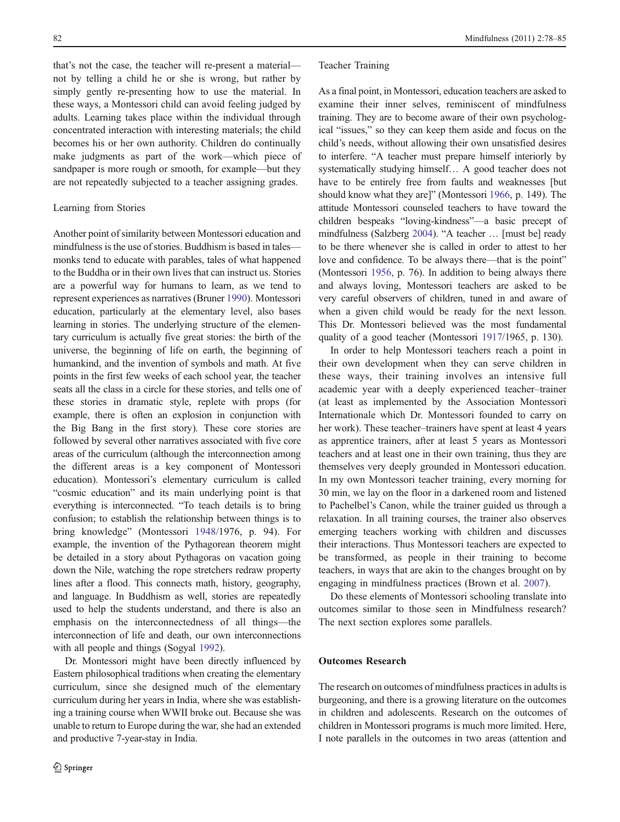that's not the case, the teacher will re-present a material not by telling a child he or she is wrong, but rather by simply gently re-presenting how to use the material. In these ways, a Montessori child can avoid feeling judged by adults. Learning takes place within the individual through concentrated interaction with interesting materials; the child becomes his or her own authority. Children do continually make judgments as part of the work—which piece of sandpaper is more rough or smooth, for example—but they are not repeatedly subjected to a teacher assigning grades.

## Learning from Stories

Another point of similarity between Montessori education and mindfulness is the use of stories. Buddhism is based in tales monks tend to educate with parables, tales of what happened to the Buddha or in their own lives that can instruct us. Stories are a powerful way for humans to learn, as we tend to represent experiences as narratives (Bruner [1990](#page-6-0)). Montessori education, particularly at the elementary level, also bases learning in stories. The underlying structure of the elementary curriculum is actually five great stories: the birth of the universe, the beginning of life on earth, the beginning of humankind, and the invention of symbols and math. At five points in the first few weeks of each school year, the teacher seats all the class in a circle for these stories, and tells one of these stories in dramatic style, replete with props (for example, there is often an explosion in conjunction with the Big Bang in the first story). These core stories are followed by several other narratives associated with five core areas of the curriculum (although the interconnection among the different areas is a key component of Montessori education). Montessori's elementary curriculum is called "cosmic education" and its main underlying point is that everything is interconnected. "To teach details is to bring confusion; to establish the relationship between things is to bring knowledge" (Montessori [1948](#page-7-0)/1976, p. 94). For example, the invention of the Pythagorean theorem might be detailed in a story about Pythagoras on vacation going down the Nile, watching the rope stretchers redraw property lines after a flood. This connects math, history, geography, and language. In Buddhism as well, stories are repeatedly used to help the students understand, and there is also an emphasis on the interconnectedness of all things—the interconnection of life and death, our own interconnections with all people and things (Sogyal [1992\)](#page-7-0).

Dr. Montessori might have been directly influenced by Eastern philosophical traditions when creating the elementary curriculum, since she designed much of the elementary curriculum during her years in India, where she was establishing a training course when WWII broke out. Because she was unable to return to Europe during the war, she had an extended and productive 7-year-stay in India.

### Teacher Training

As a final point, in Montessori, education teachers are asked to examine their inner selves, reminiscent of mindfulness training. They are to become aware of their own psychological "issues," so they can keep them aside and focus on the child's needs, without allowing their own unsatisfied desires to interfere. "A teacher must prepare himself interiorly by systematically studying himself… A good teacher does not have to be entirely free from faults and weaknesses [but should know what they are]" (Montessori [1966,](#page-7-0) p. 149). The attitude Montessori counseled teachers to have toward the children bespeaks "loving-kindness"—a basic precept of mindfulness (Salzberg [2004\)](#page-7-0). "A teacher … [must be] ready to be there whenever she is called in order to attest to her love and confidence. To be always there—that is the point" (Montessori [1956,](#page-7-0) p. 76). In addition to being always there and always loving, Montessori teachers are asked to be very careful observers of children, tuned in and aware of when a given child would be ready for the next lesson. This Dr. Montessori believed was the most fundamental quality of a good teacher (Montessori [1917/](#page-7-0)1965, p. 130).

In order to help Montessori teachers reach a point in their own development when they can serve children in these ways, their training involves an intensive full academic year with a deeply experienced teacher–trainer (at least as implemented by the Association Montessori Internationale which Dr. Montessori founded to carry on her work). These teacher–trainers have spent at least 4 years as apprentice trainers, after at least 5 years as Montessori teachers and at least one in their own training, thus they are themselves very deeply grounded in Montessori education. In my own Montessori teacher training, every morning for 30 min, we lay on the floor in a darkened room and listened to Pachelbel's Canon, while the trainer guided us through a relaxation. In all training courses, the trainer also observes emerging teachers working with children and discusses their interactions. Thus Montessori teachers are expected to be transformed, as people in their training to become teachers, in ways that are akin to the changes brought on by engaging in mindfulness practices (Brown et al. [2007](#page-6-0)).

Do these elements of Montessori schooling translate into outcomes similar to those seen in Mindfulness research? The next section explores some parallels.

## Outcomes Research

The research on outcomes of mindfulness practices in adults is burgeoning, and there is a growing literature on the outcomes in children and adolescents. Research on the outcomes of children in Montessori programs is much more limited. Here, I note parallels in the outcomes in two areas (attention and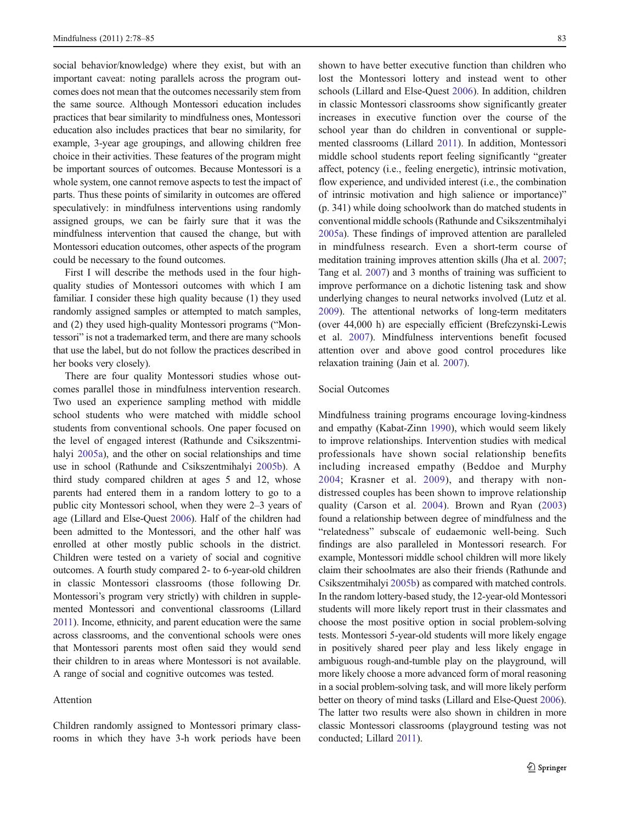social behavior/knowledge) where they exist, but with an important caveat: noting parallels across the program outcomes does not mean that the outcomes necessarily stem from the same source. Although Montessori education includes practices that bear similarity to mindfulness ones, Montessori education also includes practices that bear no similarity, for example, 3-year age groupings, and allowing children free choice in their activities. These features of the program might be important sources of outcomes. Because Montessori is a whole system, one cannot remove aspects to test the impact of parts. Thus these points of similarity in outcomes are offered speculatively: in mindfulness interventions using randomly assigned groups, we can be fairly sure that it was the mindfulness intervention that caused the change, but with Montessori education outcomes, other aspects of the program could be necessary to the found outcomes.

First I will describe the methods used in the four highquality studies of Montessori outcomes with which I am familiar. I consider these high quality because (1) they used randomly assigned samples or attempted to match samples, and (2) they used high-quality Montessori programs ("Montessori" is not a trademarked term, and there are many schools that use the label, but do not follow the practices described in her books very closely).

There are four quality Montessori studies whose outcomes parallel those in mindfulness intervention research. Two used an experience sampling method with middle school students who were matched with middle school students from conventional schools. One paper focused on the level of engaged interest (Rathunde and Csikszentmihalyi [2005a\)](#page-7-0), and the other on social relationships and time use in school (Rathunde and Csikszentmihalyi [2005b](#page-7-0)). A third study compared children at ages 5 and 12, whose parents had entered them in a random lottery to go to a public city Montessori school, when they were 2–3 years of age (Lillard and Else-Quest [2006\)](#page-7-0). Half of the children had been admitted to the Montessori, and the other half was enrolled at other mostly public schools in the district. Children were tested on a variety of social and cognitive outcomes. A fourth study compared 2- to 6-year-old children in classic Montessori classrooms (those following Dr. Montessori's program very strictly) with children in supplemented Montessori and conventional classrooms (Lillard [2011](#page-7-0)). Income, ethnicity, and parent education were the same across classrooms, and the conventional schools were ones that Montessori parents most often said they would send their children to in areas where Montessori is not available. A range of social and cognitive outcomes was tested.

# Attention

Children randomly assigned to Montessori primary classrooms in which they have 3-h work periods have been shown to have better executive function than children who lost the Montessori lottery and instead went to other schools (Lillard and Else-Quest [2006\)](#page-7-0). In addition, children in classic Montessori classrooms show significantly greater increases in executive function over the course of the school year than do children in conventional or supplemented classrooms (Lillard [2011\)](#page-7-0). In addition, Montessori middle school students report feeling significantly "greater affect, potency (i.e., feeling energetic), intrinsic motivation, flow experience, and undivided interest (i.e., the combination of intrinsic motivation and high salience or importance)" (p. 341) while doing schoolwork than do matched students in conventional middle schools (Rathunde and Csikszentmihalyi [2005a](#page-7-0)). These findings of improved attention are paralleled in mindfulness research. Even a short-term course of meditation training improves attention skills (Jha et al. [2007;](#page-7-0) Tang et al. [2007\)](#page-7-0) and 3 months of training was sufficient to improve performance on a dichotic listening task and show underlying changes to neural networks involved (Lutz et al. [2009\)](#page-7-0). The attentional networks of long-term meditaters (over 44,000 h) are especially efficient (Brefczynski-Lewis et al. [2007](#page-6-0)). Mindfulness interventions benefit focused attention over and above good control procedures like relaxation training (Jain et al. [2007\)](#page-7-0).

# Social Outcomes

Mindfulness training programs encourage loving-kindness and empathy (Kabat-Zinn [1990](#page-7-0)), which would seem likely to improve relationships. Intervention studies with medical professionals have shown social relationship benefits including increased empathy (Beddoe and Murphy [2004](#page-6-0); Krasner et al. [2009\)](#page-7-0), and therapy with nondistressed couples has been shown to improve relationship quality (Carson et al. [2004\)](#page-6-0). Brown and Ryan ([2003](#page-6-0)) found a relationship between degree of mindfulness and the "relatedness" subscale of eudaemonic well-being. Such findings are also paralleled in Montessori research. For example, Montessori middle school children will more likely claim their schoolmates are also their friends (Rathunde and Csikszentmihalyi [2005b\)](#page-7-0) as compared with matched controls. In the random lottery-based study, the 12-year-old Montessori students will more likely report trust in their classmates and choose the most positive option in social problem-solving tests. Montessori 5-year-old students will more likely engage in positively shared peer play and less likely engage in ambiguous rough-and-tumble play on the playground, will more likely choose a more advanced form of moral reasoning in a social problem-solving task, and will more likely perform better on theory of mind tasks (Lillard and Else-Quest [2006\)](#page-7-0). The latter two results were also shown in children in more classic Montessori classrooms (playground testing was not conducted; Lillard [2011](#page-7-0)).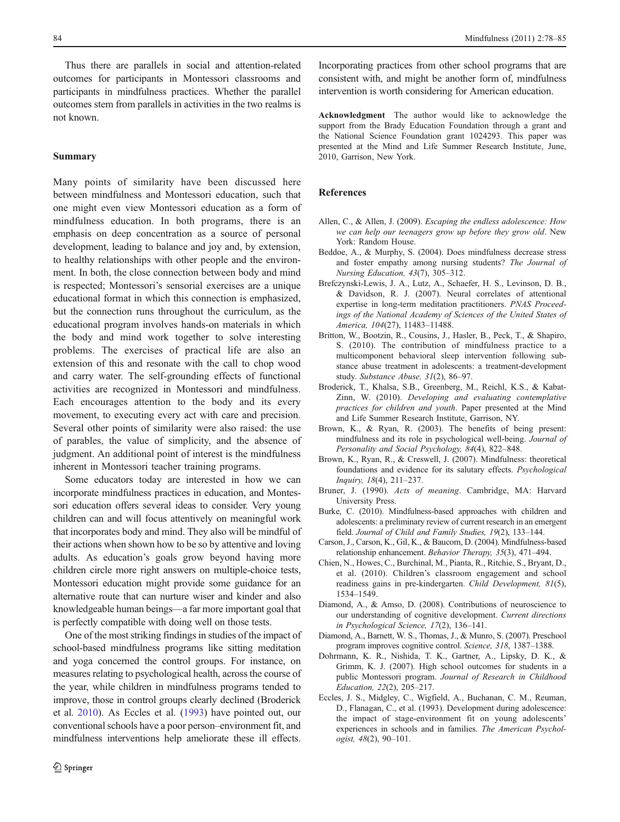Thus there are parallels in social and attention-related outcomes for participants in Montessori classrooms and participants in mindfulness practices. Whether the parallel outcomes stem from parallels in activities in the two realms is not known.

## Summary

Many points of similarity have been discussed here between mindfulness and Montessori education, such that one might even view Montessori education as a form of mindfulness education. In both programs, there is an emphasis on deep concentration as a source of personal development, leading to balance and joy and, by extension, to healthy relationships with other people and the environment. In both, the close connection between body and mind is respected; Montessori's sensorial exercises are a unique educational format in which this connection is emphasized, but the connection runs throughout the curriculum, as the educational program involves hands-on materials in which the body and mind work together to solve interesting problems. The exercises of practical life are also an extension of this and resonate with the call to chop wood and carry water. The self-grounding effects of functional activities are recognized in Montessori and mindfulness. Each encourages attention to the body and its every movement, to executing every act with care and precision. Several other points of similarity were also raised: the use of parables, the value of simplicity, and the absence of judgment. An additional point of interest is the mindfulness inherent in Montessori teacher training programs.

Some educators today are interested in how we can incorporate mindfulness practices in education, and Montessori education offers several ideas to consider. Very young children can and will focus attentively on meaningful work that incorporates body and mind. They also will be mindful of their actions when shown how to be so by attentive and loving adults. As education's goals grow beyond having more children circle more right answers on multiple-choice tests, Montessori education might provide some guidance for an alternative route that can nurture wiser and kinder and also knowledgeable human beings—a far more important goal that is perfectly compatible with doing well on those tests.

<span id="page-6-0"></span>One of the most striking findings in studies of the impact of school-based mindfulness programs like sitting meditation and yoga concerned the control groups. For instance, on measures relating to psychological health, across the course of the year, while children in mindfulness programs tended to improve, those in control groups clearly declined (Broderick et al. [2010](#page-6-0)). As Eccles et al. [\(1993\)](#page-6-0) have pointed out, our conventional schools have a poor person–environment fit, and mindfulness interventions help ameliorate these ill effects.

Incorporating practices from other school programs that are consistent with, and might be another form of, mindfulness intervention is worth considering for American education.

Acknowledgment The author would like to acknowledge the support from the Brady Education Foundation through a grant and the National Science Foundation grant 1024293. This paper was presented at the Mind and Life Summer Research Institute, June, 2010, Garrison, New York.

# References

- Allen, C., & Allen, J. (2009). Escaping the endless adolescence: How we can help our teenagers grow up before they grow old. New York: Random House.
- Beddoe, A., & Murphy, S. (2004). Does mindfulness decrease stress and foster empathy among nursing students? The Journal of Nursing Education, 43(7), 305–312.
- Brefczynski-Lewis, J. A., Lutz, A., Schaefer, H. S., Levinson, D. B., & Davidson, R. J. (2007). Neural correlates of attentional expertise in long-term meditation practitioners. PNAS Proceedings of the National Academy of Sciences of the United States of America, 104(27), 11483–11488.
- Britton, W., Bootzin, R., Cousins, J., Hasler, B., Peck, T., & Shapiro, S. (2010). The contribution of mindfulness practice to a multicomponent behavioral sleep intervention following substance abuse treatment in adolescents: a treatment-development study. Substance Abuse, 31(2), 86–97.
- Broderick, T., Khalsa, S.B., Greenberg, M., Reichl, K.S., & Kabat-Zinn, W. (2010). Developing and evaluating contemplative practices for children and youth. Paper presented at the Mind and Life Summer Research Institute, Garrison, NY.
- Brown, K., & Ryan, R. (2003). The benefits of being present: mindfulness and its role in psychological well-being. Journal of Personality and Social Psychology, 84(4), 822–848.
- Brown, K., Ryan, R., & Creswell, J. (2007). Mindfulness: theoretical foundations and evidence for its salutary effects. Psychological Inquiry, 18(4), 211–237.
- Bruner, J. (1990). Acts of meaning. Cambridge, MA: Harvard University Press.
- Burke, C. (2010). Mindfulness-based approaches with children and adolescents: a preliminary review of current research in an emergent field. Journal of Child and Family Studies, 19(2), 133–144.
- Carson, J., Carson, K., Gil, K., & Baucom, D. (2004). Mindfulness-based relationship enhancement. Behavior Therapy, 35(3), 471–494.
- Chien, N., Howes, C., Burchinal, M., Pianta, R., Ritchie, S., Bryant, D., et al. (2010). Children's classroom engagement and school readiness gains in pre-kindergarten. Child Development, 81(5), 1534–1549.
- Diamond, A., & Amso, D. (2008). Contributions of neuroscience to our understanding of cognitive development. Current directions in Psychological Science, 17(2), 136–141.
- Diamond, A., Barnett, W. S., Thomas, J., & Munro, S. (2007). Preschool program improves cognitive control. Science, 318, 1387–1388.
- Dohrmann, K. R., Nishida, T. K., Gartner, A., Lipsky, D. K., & Grimm, K. J. (2007). High school outcomes for students in a public Montessori program. Journal of Research in Childhood Education, 22(2), 205–217.
- Eccles, J. S., Midgley, C., Wigfield, A., Buchanan, C. M., Reuman, D., Flanagan, C., et al. (1993). Development during adolescence: the impact of stage-environment fit on young adolescents' experiences in schools and in families. The American Psychologist, 48(2), 90–101.